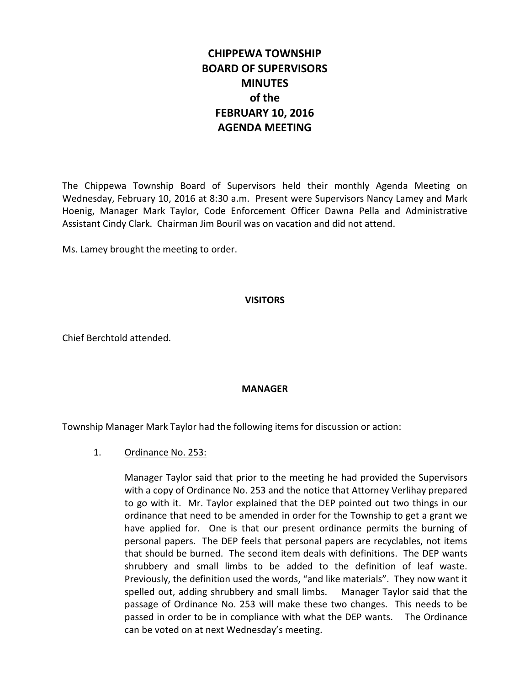# **CHIPPEWA TOWNSHIP BOARD OF SUPERVISORS MINUTES of the FEBRUARY 10, 2016 AGENDA MEETING**

The Chippewa Township Board of Supervisors held their monthly Agenda Meeting on Wednesday, February 10, 2016 at 8:30 a.m. Present were Supervisors Nancy Lamey and Mark Hoenig, Manager Mark Taylor, Code Enforcement Officer Dawna Pella and Administrative Assistant Cindy Clark. Chairman Jim Bouril was on vacation and did not attend.

Ms. Lamey brought the meeting to order.

# **VISITORS**

Chief Berchtold attended.

## **MANAGER**

Township Manager Mark Taylor had the following items for discussion or action:

## 1. Ordinance No. 253:

Manager Taylor said that prior to the meeting he had provided the Supervisors with a copy of Ordinance No. 253 and the notice that Attorney Verlihay prepared to go with it. Mr. Taylor explained that the DEP pointed out two things in our ordinance that need to be amended in order for the Township to get a grant we have applied for. One is that our present ordinance permits the burning of personal papers. The DEP feels that personal papers are recyclables, not items that should be burned. The second item deals with definitions. The DEP wants shrubbery and small limbs to be added to the definition of leaf waste. Previously, the definition used the words, "and like materials". They now want it spelled out, adding shrubbery and small limbs. Manager Taylor said that the passage of Ordinance No. 253 will make these two changes. This needs to be passed in order to be in compliance with what the DEP wants. The Ordinance can be voted on at next Wednesday's meeting.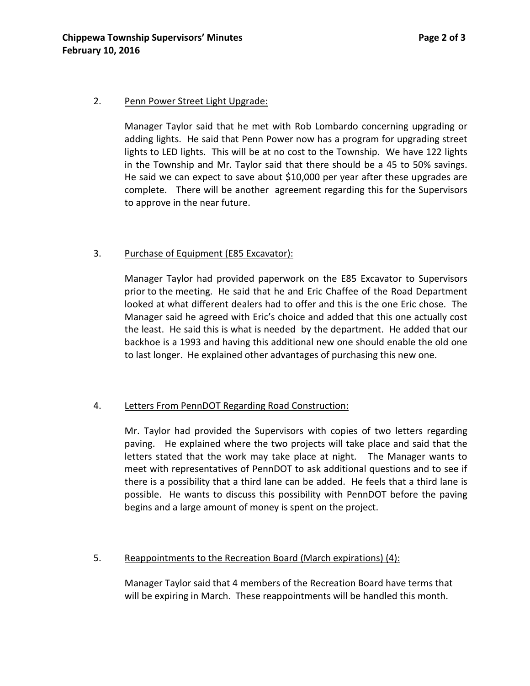#### 2. Penn Power Street Light Upgrade:

Manager Taylor said that he met with Rob Lombardo concerning upgrading or adding lights. He said that Penn Power now has a program for upgrading street lights to LED lights. This will be at no cost to the Township. We have 122 lights in the Township and Mr. Taylor said that there should be a 45 to 50% savings. He said we can expect to save about \$10,000 per year after these upgrades are complete. There will be another agreement regarding this for the Supervisors to approve in the near future.

# 3. Purchase of Equipment (E85 Excavator):

Manager Taylor had provided paperwork on the E85 Excavator to Supervisors prior to the meeting. He said that he and Eric Chaffee of the Road Department looked at what different dealers had to offer and this is the one Eric chose. The Manager said he agreed with Eric's choice and added that this one actually cost the least. He said this is what is needed by the department. He added that our backhoe is a 1993 and having this additional new one should enable the old one to last longer. He explained other advantages of purchasing this new one.

## 4. Letters From PennDOT Regarding Road Construction:

Mr. Taylor had provided the Supervisors with copies of two letters regarding paving. He explained where the two projects will take place and said that the letters stated that the work may take place at night. The Manager wants to meet with representatives of PennDOT to ask additional questions and to see if there is a possibility that a third lane can be added. He feels that a third lane is possible. He wants to discuss this possibility with PennDOT before the paving begins and a large amount of money is spent on the project.

## 5. Reappointments to the Recreation Board (March expirations) (4):

Manager Taylor said that 4 members of the Recreation Board have terms that will be expiring in March. These reappointments will be handled this month.